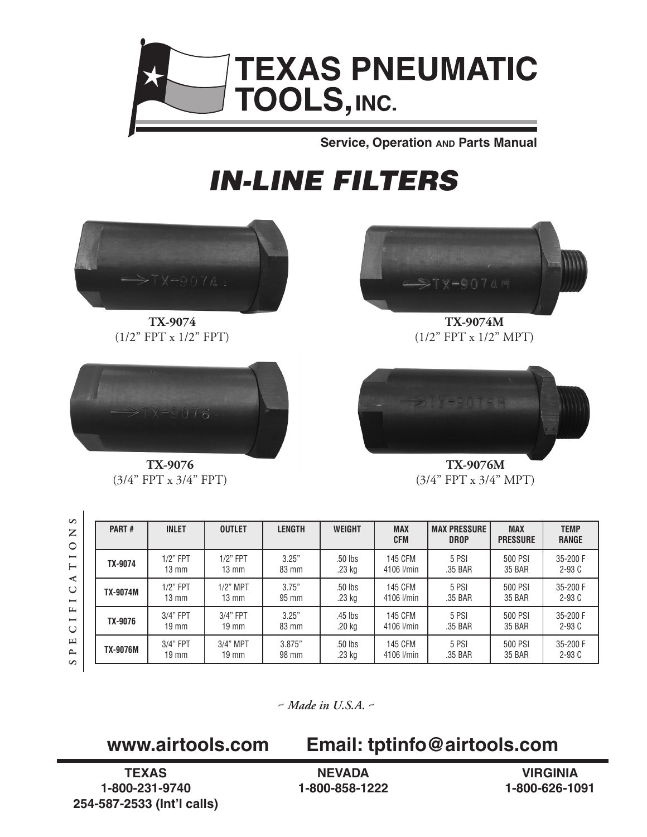

**Service, Operation AND Parts Manual** 

## *IN-LINE FILTERS*





**TX-9074 TX-9074M**  $(1/2$ " FPT x  $1/2$ " FPT)  $(1/2$ " FPT x  $1/2$ " MPT)



 $\overline{1}$ 



**TX-9076 TX-9076M**  $(3/4$ " FPT x  $3/4$ " FPT)  $(3/4$ " FPT x  $3/4$ " MPT)

| PART#           | <b>INLET</b>    | <b>OUTLET</b>   | <b>LENGTH</b> | <b>WEIGHT</b> | <b>MAX</b><br><b>CFM</b> | <b>MAX PRESSURE</b><br><b>DROP</b> | <b>MAX</b><br><b>PRESSURE</b> | <b>TEMP</b><br><b>RANGE</b> |
|-----------------|-----------------|-----------------|---------------|---------------|--------------------------|------------------------------------|-------------------------------|-----------------------------|
| TX-9074         | $1/2$ " FPT     | $1/2$ " FPT     | 3.25"         | .50 lbs       | <b>145 CFM</b>           | 5 PSI                              | 500 PSI                       | 35-200 F                    |
|                 | $13 \text{ mm}$ | $13 \text{ mm}$ | 83 mm         | .23 kg        | 4106 l/min               | .35 BAR                            | <b>35 BAR</b>                 | $2-93C$                     |
| <b>TX-9074M</b> | $1/2$ " FPT     | $1/2$ " MPT     | 3.75"         | .50 lbs       | <b>145 CFM</b>           | 5 PSI                              | 500 PSI                       | 35-200 F                    |
|                 | $13 \text{ mm}$ | $13 \text{ mm}$ | 95 mm         | .23 kg        | 4106 l/min               | .35 BAR                            | <b>35 BAR</b>                 | $2-93C$                     |
| TX-9076         | 3/4" FPT        | 3/4" FPT        | 3.25"         | .45 lbs       | <b>145 CFM</b>           | 5 PSI                              | 500 PSI                       | 35-200 F                    |
|                 | $19 \text{ mm}$ | $19 \text{ mm}$ | 83 mm         | .20 kg        | 4106 l/min               | .35 BAR                            | 35 BAR                        | $2-93C$                     |
| <b>TX-9076M</b> | $3/4"$ FPT      | 3/4" MPT        | 3.875"        | .50 lbs       | <b>145 CFM</b>           | 5 PSI                              | 500 PSI                       | 35-200 F                    |
|                 | $19 \text{ mm}$ | $19 \text{ mm}$ | 98 mm         | .23 kg        | 4106 l/min               | .35 BAR                            | 35 BAR                        | $2-93C$                     |

*~ Made in U.S.A. ~*

## **www.airtools.com Email: tptinfo@airtools.com**

**TEXAS 1-800-231-9740 254-587-2533 (Int'l calls)**

**NEVADA 1-800-858-1222**

**VIRGINIA 1-800-626-1091**